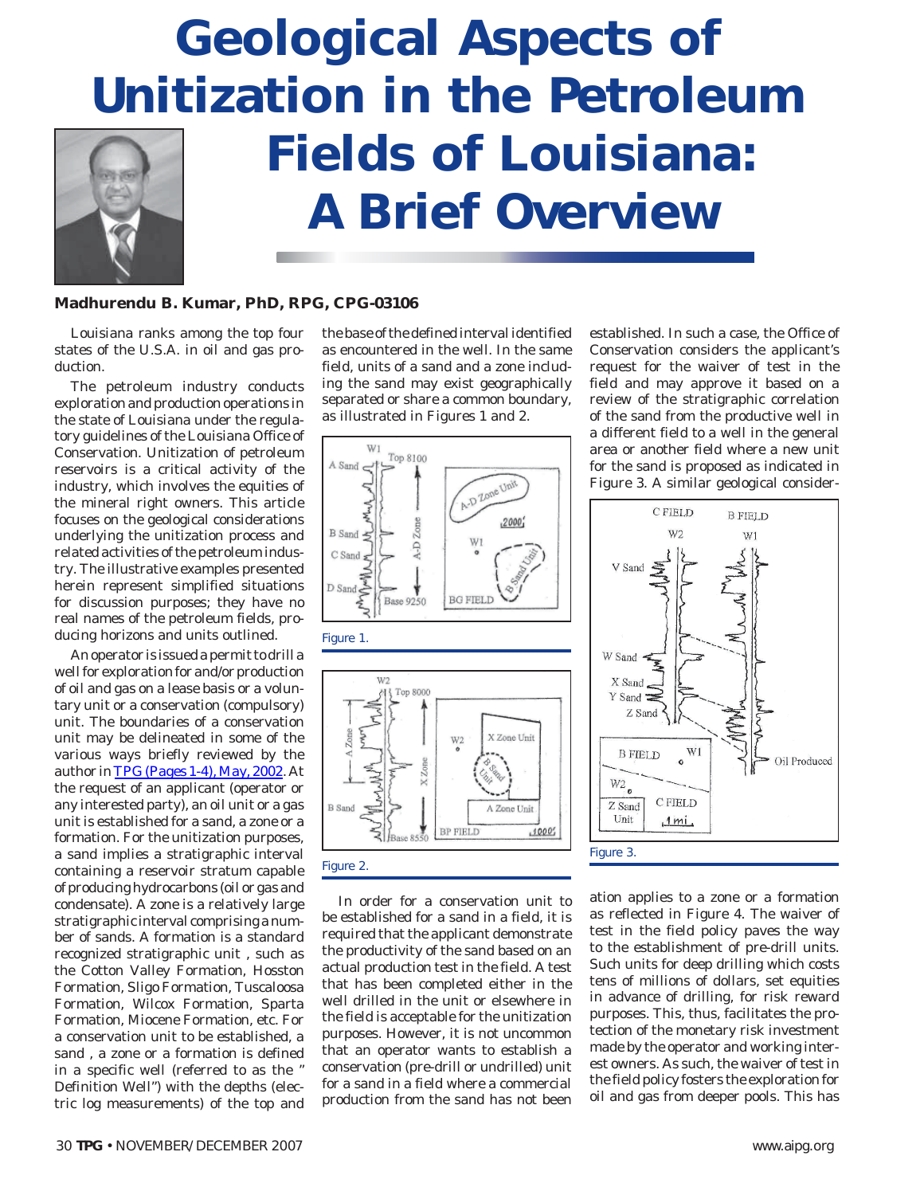

### **Madhurendu B. Kumar, PhD, RPG, CPG-03106**

Louisiana ranks among the top four states of the U.S.A. in oil and gas production.

The petroleum industry conducts exploration and production operations in the state of Louisiana under the regulatory guidelines of the Louisiana Office of Conservation. Unitization of petroleum reservoirs is a critical activity of the industry, which involves the equities of the mineral right owners. This article focuses on the geological considerations underlying the unitization process and related activities of the petroleum industry. The illustrative examples presented herein represent simplified situations for discussion purposes; they have no real names of the petroleum fields, producing horizons and units outlined.

An operator is issued a permit to drill a well for exploration for and/or production of oil and gas on a lease basis or a voluntary unit or a conservation (compulsory) unit. The boundaries of a conservation unit may be delineated in some of the various ways briefly reviewed by the author in *TPG* [\(Pages 1-4\), May, 2002.](#page-3-0) At the request of an applicant (operator or any interested party), an oil unit or a gas unit is established for a sand, a zone or a formation. For the unitization purposes, a sand implies a stratigraphic interval containing a reservoir stratum capable of producing hydrocarbons (oil or gas and condensate). A zone is a relatively large stratigraphic interval comprising a number of sands. A formation is a standard recognized stratigraphic unit , such as the Cotton Valley Formation, Hosston Formation, Sligo Formation, Tuscaloosa Formation, Wilcox Formation, Sparta Formation, Miocene Formation, etc. For a conservation unit to be established, a sand , a zone or a formation is defined in a specific well (referred to as the " Definition Well") with the depths (electric log measurements) of the top and

the base of the defined interval identified as encountered in the well. In the same field, units of a sand and a zone including the sand may exist geographically separated or share a common boundary, as illustrated in Figures 1 and 2.



In order for a conservation unit to be established for a sand in a field, it is required that the applicant demonstrate the productivity of the sand based on an actual production test in the field. A test that has been completed either in the well drilled in the unit or elsewhere in the field is acceptable for the unitization purposes. However, it is not uncommon that an operator wants to establish a conservation (pre-drill or undrilled) unit for a sand in a field where a commercial production from the sand has not been

established. In such a case, the Office of Conservation considers the applicant's request for the waiver of test in the field and may approve it based on a review of the stratigraphic correlation of the sand from the productive well in a different field to a well in the general area or another field where a new unit for the sand is proposed as indicated in Figure 3. A similar geological consider-



ation applies to a zone or a formation as reflected in Figure 4. The waiver of test in the field policy paves the way to the establishment of pre-drill units. Such units for deep drilling which costs tens of millions of dollars, set equities in advance of drilling, for risk reward purposes. This, thus, facilitates the protection of the monetary risk investment made by the operator and working interest owners. As such, the waiver of test in the field policy fosters the exploration for oil and gas from deeper pools. This has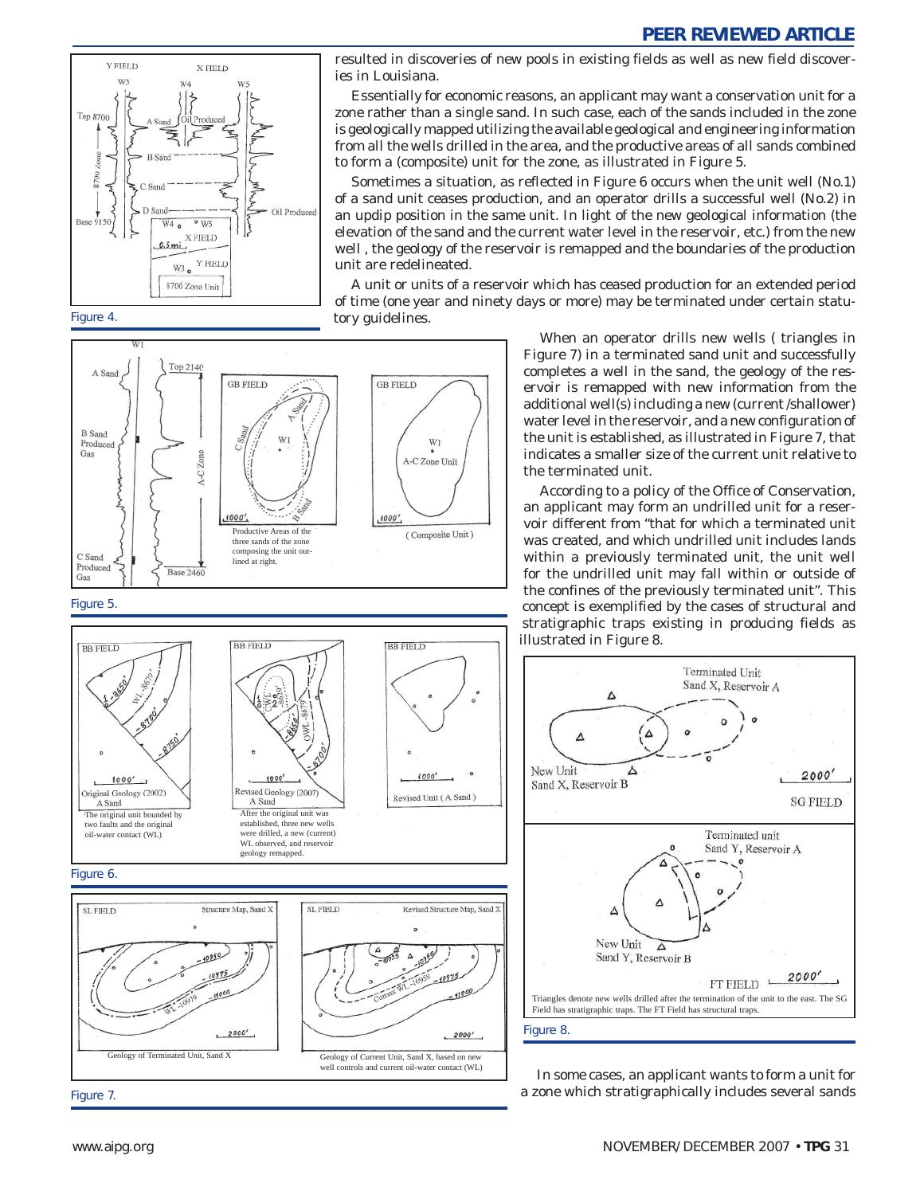

Figure 4.

resulted in discoveries of new pools in existing fields as well as new field discoveries in Louisiana.

Essentially for economic reasons, an applicant may want a conservation unit for a zone rather than a single sand. In such case, each of the sands included in the zone is geologically mapped utilizing the available geological and engineering information from all the wells drilled in the area, and the productive areas of all sands combined to form a (composite) unit for the zone, as illustrated in Figure 5.

Sometimes a situation, as reflected in Figure 6 occurs when the unit well (No.1) of a sand unit ceases production, and an operator drills a successful well (No.2) in an updip position in the same unit. In light of the new geological information (the elevation of the sand and the current water level in the reservoir, etc.) from the new well , the geology of the reservoir is remapped and the boundaries of the production unit are redelineated.

A unit or units of a reservoir which has ceased production for an extended period of time (one year and ninety days or more) may be terminated under certain statutory guidelines.



Geology of Terminated Unit, Sand X Geology of Current Unit, Sand X, based on new

Is and current oil-water contact (WL)

When an operator drills new wells ( triangles in Figure 7) in a terminated sand unit and successfully completes a well in the sand, the geology of the reservoir is remapped with new information from the additional well(s) including a new (current /shallower) water level in the reservoir, and a new configuration of the unit is established, as illustrated in Figure 7, that indicates a smaller size of the current unit relative to the terminated unit.

According to a policy of the Office of Conservation, an applicant may form an undrilled unit for a reservoir different from "that for which a terminated unit was created, and which undrilled unit includes lands within a previously terminated unit, the unit well for the undrilled unit may fall within or outside of the confines of the previously terminated unit". This concept is exemplified by the cases of structural and stratigraphic traps existing in producing fields as illustrated in Figure 8.



In some cases, an applicant wants to form a unit for a zone which stratigraphically includes several sands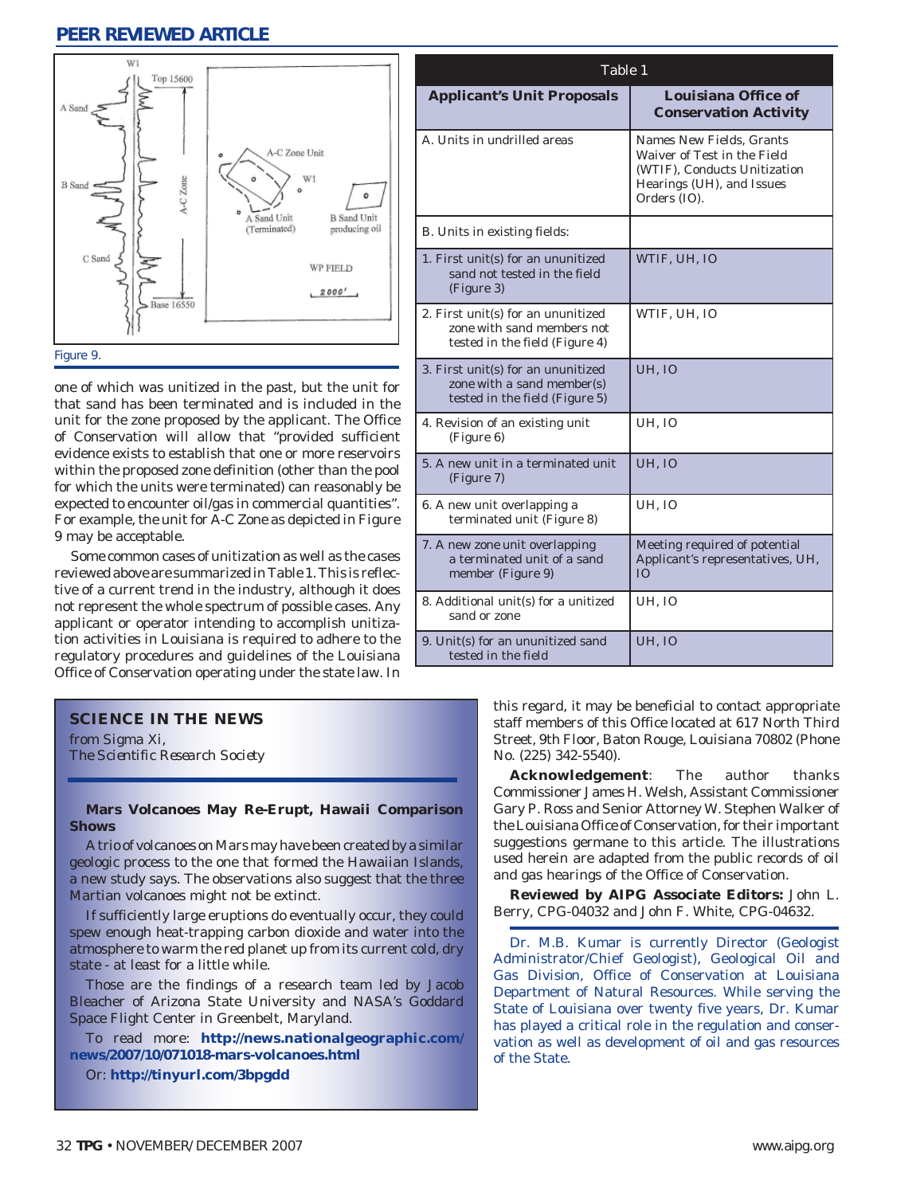

one of which was unitized in the past, but the unit for that sand has been terminated and is included in the unit for the zone proposed by the applicant. The Office of Conservation will allow that "provided sufficient evidence exists to establish that one or more reservoirs within the proposed zone definition (other than the pool for which the units were terminated) can reasonably be expected to encounter oil/gas in commercial quantities". For example, the unit for A-C Zone as depicted in Figure 9 may be acceptable.

Some common cases of unitization as well as the cases reviewed above are summarized in Table 1. This is reflective of a current trend in the industry, although it does not represent the whole spectrum of possible cases. Any applicant or operator intending to accomplish unitization activities in Louisiana is required to adhere to the regulatory procedures and guidelines of the Louisiana Office of Conservation operating under the state law. In

| <b>Applicant's Unit Proposals</b>                                                                  | Louisiana Office of<br><b>Conservation Activity</b>                                                                                  |
|----------------------------------------------------------------------------------------------------|--------------------------------------------------------------------------------------------------------------------------------------|
| A. Units in undrilled areas                                                                        | Names New Fields, Grants<br>Waiver of Test in the Field<br>(WTIF), Conducts Unitization<br>Hearings (UH), and Issues<br>Orders (IO). |
| B. Units in existing fields:                                                                       |                                                                                                                                      |
| 1. First unit(s) for an ununitized<br>sand not tested in the field<br>(Figure 3)                   | WTIF, UH, IO                                                                                                                         |
| 2. First unit(s) for an ununitized<br>zone with sand members not<br>tested in the field (Figure 4) | WTIF, UH, IO                                                                                                                         |
| 3. First unit(s) for an ununitized<br>zone with a sand member(s)<br>tested in the field (Figure 5) | <b>UH, IO</b>                                                                                                                        |
| 4. Revision of an existing unit<br>(Figure 6)                                                      | UH, IO                                                                                                                               |
| 5. A new unit in a terminated unit<br>(Figure 7)                                                   | <b>UH, IO</b>                                                                                                                        |
| 6. A new unit overlapping a<br>terminated unit (Figure 8)                                          | <b>UH. IO</b>                                                                                                                        |
| 7. A new zone unit overlapping<br>a terminated unit of a sand<br>member (Figure 9)                 | Meeting required of potential<br>Applicant's representatives, UH,<br>IO                                                              |
| 8. Additional unit(s) for a unitized<br>sand or zone                                               | <b>UH, IO</b>                                                                                                                        |
| 9. Unit(s) for an ununitized sand<br>tested in the field                                           | UH, IO                                                                                                                               |

Table 1

### **SCIENCE IN THE NEWS**

*from Sigma Xi, The Scientific Research Society*

### **Mars Volcanoes May Re-Erupt, Hawaii Comparison Shows**

A trio of volcanoes on Mars may have been created by a similar geologic process to the one that formed the Hawaiian Islands, a new study says. The observations also suggest that the three Martian volcanoes might not be extinct.

If sufficiently large eruptions do eventually occur, they could spew enough heat-trapping carbon dioxide and water into the atmosphere to warm the red planet up from its current cold, dry state - at least for a little while.

Those are the findings of a research team led by Jacob Bleacher of Arizona State University and NASA's Goddard Space Flight Center in Greenbelt, Maryland.

To read more: **http://news.nationalgeographic.com/ news/2007/10/071018-mars-volcanoes.html**

Or: **http://tinyurl.com/3bpgdd**

this regard, it may be beneficial to contact appropriate staff members of this Office located at 617 North Third Street, 9th Floor, Baton Rouge, Louisiana 70802 (Phone No. (225) 342-5540).

**Acknowledgement**: The author thanks Commissioner James H. Welsh, Assistant Commissioner Gary P. Ross and Senior Attorney W. Stephen Walker of the Louisiana Office of Conservation, for their important suggestions germane to this article. The illustrations used herein are adapted from the public records of oil and gas hearings of the Office of Conservation.

**Reviewed by AIPG Associate Editors:** John L. Berry, CPG-04032 and John F. White, CPG-04632.

Dr. M.B. Kumar is currently Director (Geologist Administrator/Chief Geologist), Geological Oil and Gas Division, Office of Conservation at Louisiana Department of Natural Resources. While serving the State of Louisiana over twenty five years, Dr. Kumar has played a critical role in the regulation and conservation as well as development of oil and gas resources of the State.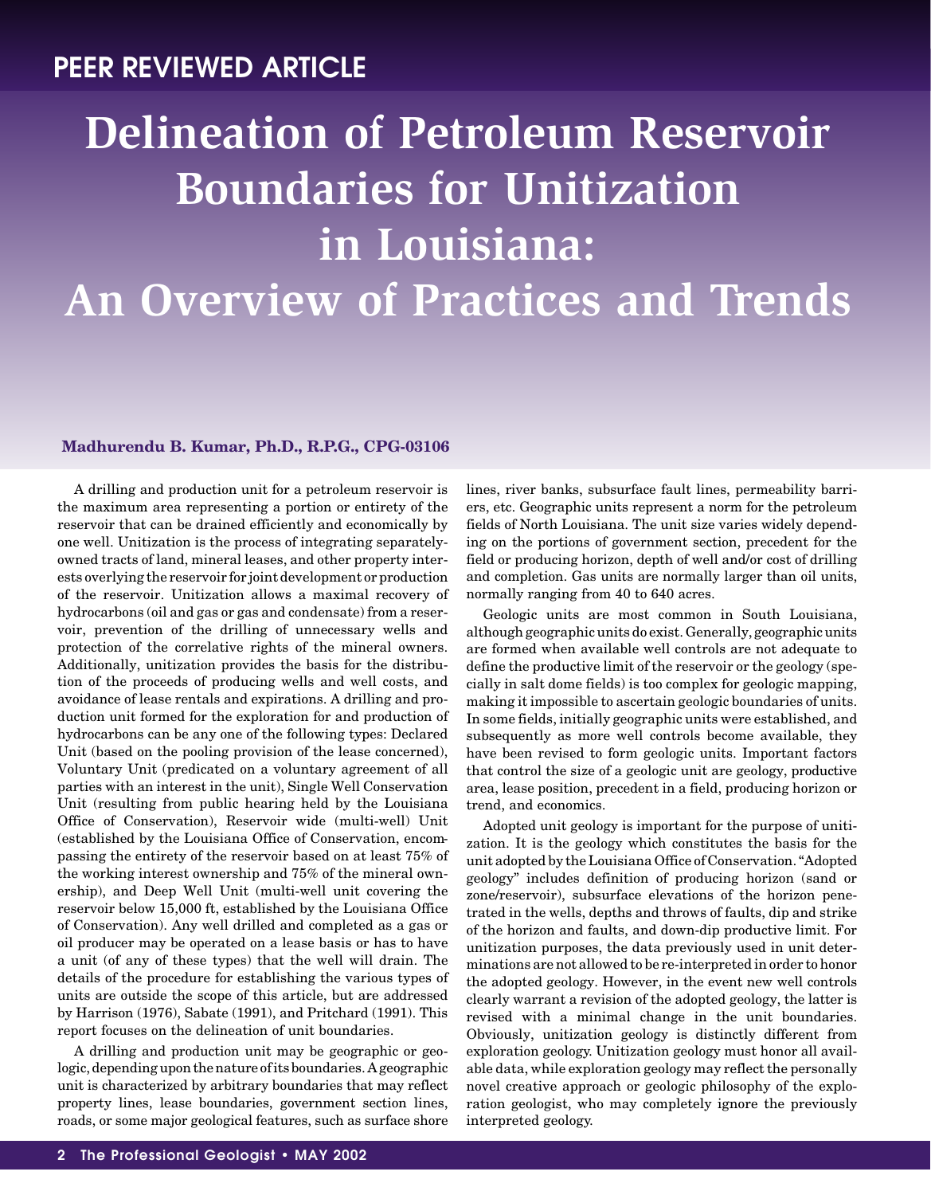# <span id="page-3-0"></span>**Delineation of Petroleum Reservoir Boundaries for Unitization in Louisiana: An Overview of Practices and Trends**

### **Madhurendu B. Kumar, Ph.D., R.P.G., CPG-03106**

A drilling and production unit for a petroleum reservoir is the maximum area representing a portion or entirety of the reservoir that can be drained efficiently and economically by one well. Unitization is the process of integrating separatelyowned tracts of land, mineral leases, and other property interests overlying the reservoir for joint development or production of the reservoir. Unitization allows a maximal recovery of hydrocarbons (oil and gas or gas and condensate) from a reservoir, prevention of the drilling of unnecessary wells and protection of the correlative rights of the mineral owners. Additionally, unitization provides the basis for the distribution of the proceeds of producing wells and well costs, and avoidance of lease rentals and expirations. A drilling and production unit formed for the exploration for and production of hydrocarbons can be any one of the following types: Declared Unit (based on the pooling provision of the lease concerned), Voluntary Unit (predicated on a voluntary agreement of all parties with an interest in the unit), Single Well Conservation Unit (resulting from public hearing held by the Louisiana Office of Conservation), Reservoir wide (multi-well) Unit (established by the Louisiana Office of Conservation, encompassing the entirety of the reservoir based on at least 75% of the working interest ownership and 75% of the mineral ownership), and Deep Well Unit (multi-well unit covering the reservoir below 15,000 ft, established by the Louisiana Office of Conservation). Any well drilled and completed as a gas or oil producer may be operated on a lease basis or has to have a unit (of any of these types) that the well will drain. The details of the procedure for establishing the various types of units are outside the scope of this article, but are addressed by Harrison (1976), Sabate (1991), and Pritchard (1991). This report focuses on the delineation of unit boundaries.

A drilling and production unit may be geographic or geologic, depending upon the nature of its boundaries. A geographic unit is characterized by arbitrary boundaries that may reflect property lines, lease boundaries, government section lines, roads, or some major geological features, such as surface shore lines, river banks, subsurface fault lines, permeability barriers, etc. Geographic units represent a norm for the petroleum fields of North Louisiana. The unit size varies widely depending on the portions of government section, precedent for the field or producing horizon, depth of well and/or cost of drilling and completion. Gas units are normally larger than oil units, normally ranging from 40 to 640 acres.

Geologic units are most common in South Louisiana, although geographic units do exist. Generally, geographic units are formed when available well controls are not adequate to define the productive limit of the reservoir or the geology (specially in salt dome fields) is too complex for geologic mapping, making it impossible to ascertain geologic boundaries of units. In some fields, initially geographic units were established, and subsequently as more well controls become available, they have been revised to form geologic units. Important factors that control the size of a geologic unit are geology, productive area, lease position, precedent in a field, producing horizon or trend, and economics.

Adopted unit geology is important for the purpose of unitization. It is the geology which constitutes the basis for the unit adopted by the Louisiana Office of Conservation. "Adopted geology" includes definition of producing horizon (sand or zone/reservoir), subsurface elevations of the horizon penetrated in the wells, depths and throws of faults, dip and strike of the horizon and faults, and down-dip productive limit. For unitization purposes, the data previously used in unit determinations are not allowed to be re-interpreted in order to honor the adopted geology. However, in the event new well controls clearly warrant a revision of the adopted geology, the latter is revised with a minimal change in the unit boundaries. Obviously, unitization geology is distinctly different from exploration geology. Unitization geology must honor all available data, while exploration geology may reflect the personally novel creative approach or geologic philosophy of the exploration geologist, who may completely ignore the previously interpreted geology.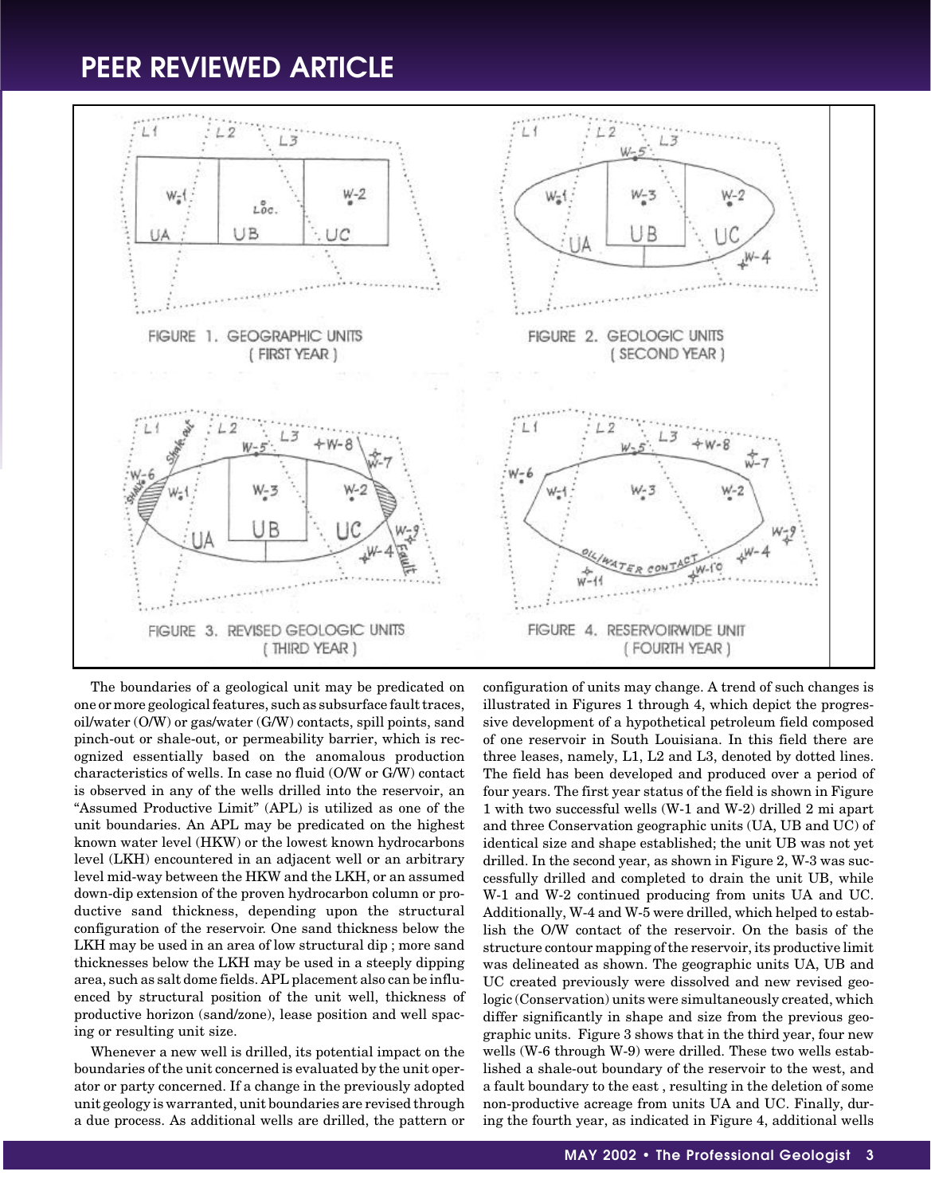

The boundaries of a geological unit may be predicated on one or more geological features, such as subsurface fault traces, oil/water (O/W) or gas/water (G/W) contacts, spill points, sand pinch-out or shale-out, or permeability barrier, which is recognized essentially based on the anomalous production characteristics of wells. In case no fluid (O/W or G/W) contact is observed in any of the wells drilled into the reservoir, an "Assumed Productive Limit" (APL) is utilized as one of the unit boundaries. An APL may be predicated on the highest known water level (HKW) or the lowest known hydrocarbons level (LKH) encountered in an adjacent well or an arbitrary level mid-way between the HKW and the LKH, or an assumed down-dip extension of the proven hydrocarbon column or productive sand thickness, depending upon the structural configuration of the reservoir. One sand thickness below the LKH may be used in an area of low structural dip ; more sand thicknesses below the LKH may be used in a steeply dipping area, such as salt dome fields. APL placement also can be influenced by structural position of the unit well, thickness of productive horizon (sand/zone), lease position and well spacing or resulting unit size.

Whenever a new well is drilled, its potential impact on the boundaries of the unit concerned is evaluated by the unit operator or party concerned. If a change in the previously adopted unit geology is warranted, unit boundaries are revised through a due process. As additional wells are drilled, the pattern or configuration of units may change. A trend of such changes is illustrated in Figures 1 through 4, which depict the progressive development of a hypothetical petroleum field composed of one reservoir in South Louisiana. In this field there are three leases, namely, L1, L2 and L3, denoted by dotted lines. The field has been developed and produced over a period of four years. The first year status of the field is shown in Figure 1 with two successful wells (W-1 and W-2) drilled 2 mi apart and three Conservation geographic units (UA, UB and UC) of identical size and shape established; the unit UB was not yet drilled. In the second year, as shown in Figure 2, W-3 was successfully drilled and completed to drain the unit UB, while W-1 and W-2 continued producing from units UA and UC. Additionally, W-4 and W-5 were drilled, which helped to establish the O/W contact of the reservoir. On the basis of the structure contour mapping of the reservoir, its productive limit was delineated as shown. The geographic units UA, UB and UC created previously were dissolved and new revised geologic (Conservation) units were simultaneously created, which differ significantly in shape and size from the previous geographic units. Figure 3 shows that in the third year, four new wells (W-6 through W-9) were drilled. These two wells established a shale-out boundary of the reservoir to the west, and a fault boundary to the east , resulting in the deletion of some non-productive acreage from units UA and UC. Finally, during the fourth year, as indicated in Figure 4, additional wells